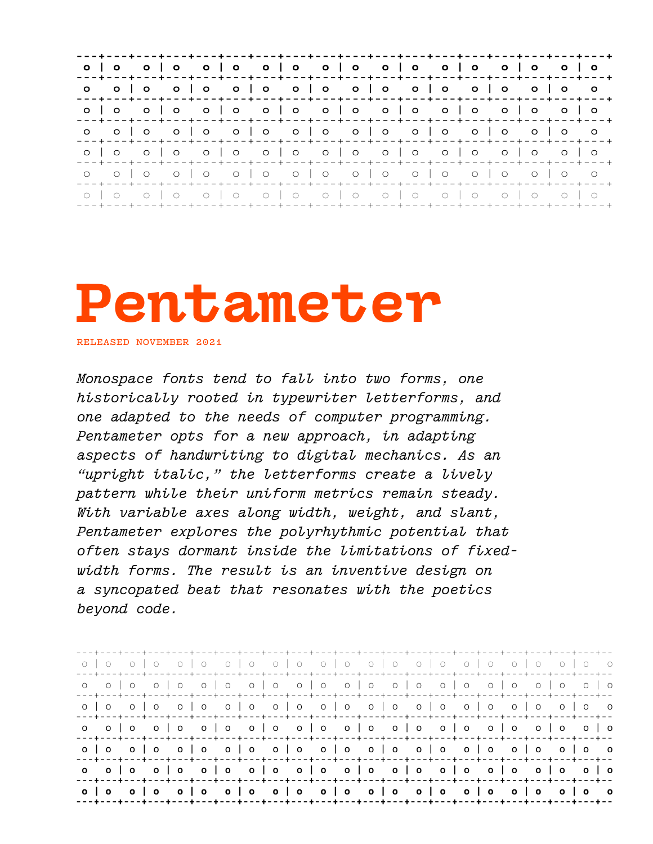|  |                                                                   |  |                                                                                      |  |  |  |  |  | ---+---+---+---+---+---+---+---+---+---+---+---+---+---+---+---+---+---+---+-    |
|--|-------------------------------------------------------------------|--|--------------------------------------------------------------------------------------|--|--|--|--|--|----------------------------------------------------------------------------------|
|  |                                                                   |  | o olo olo olo olo olo olo olo o                                                      |  |  |  |  |  | ---+---+---+---+---+---+---+---+---+---+---+---+---+---+---+---+---+---+---+---+ |
|  |                                                                   |  |                                                                                      |  |  |  |  |  | ---+---+---+---+---+---+---+---+---+---+---+---+---+---+---+---+---+---+---+---+ |
|  |                                                                   |  | o olo olo olo olo olo olo olo o                                                      |  |  |  |  |  | ---+---+---+---+---+---+---+---+---+---+---+---+---+---+---+---+---+---+---+     |
|  |                                                                   |  |                                                                                      |  |  |  |  |  | ---+---+---+---+---+---+---+---+---+---+---+---+---+---+---+---+---+---+---+---  |
|  |                                                                   |  | o olo olo olo olo olo olo olo o<br>+---+---+---+---+---+---+---+---+---+---+---+---+ |  |  |  |  |  |                                                                                  |
|  | -+---+---+---+---+---+---+---+---+---+---+---+---+---+---+---+--- |  |                                                                                      |  |  |  |  |  |                                                                                  |

# Pentameter

RELEASED NOVEMBER 2021

Monospace fonts tend to fall into two forms, one historically rooted in typewriter letterforms, and one adapted to the needs of computer programming. Pentameter opts for a new approach, in adapting aspects of handwriting to digital mechanics. As an "upright italic," the letterforms create a lively pattern while their uniform metrics remain steady. With variable axes along width, weight, and slant, Pentameter explores the polyrhythmic potential that often stays dormant inside the limitations of fixedwidth forms. The result is an inventive design on a syncopated beat that resonates with the poetics beyond code.

| ---+---+---+---+---+---+---+---+---+---+---+---+---+---+---+---+---+---+---+---+---+---+---    |  |  |  |  |  |  |  |  |  |  |  |
|------------------------------------------------------------------------------------------------|--|--|--|--|--|--|--|--|--|--|--|
|                                                                                                |  |  |  |  |  |  |  |  |  |  |  |
| ---+---+---+---+---+---+---+---+---+---+---+---+---+---+---+---+---+---+---+---+---+---+---+-- |  |  |  |  |  |  |  |  |  |  |  |
| ---+---+---+---+---+---+---+---+---+---+---+---+---+---+---+---+---+---+---+---+---+---+---    |  |  |  |  |  |  |  |  |  |  |  |
| ---+---+---+---+---+---+---+---+---+---+---+---+---+---+---+---+---+---+---+---+---+---+---+-  |  |  |  |  |  |  |  |  |  |  |  |
| ---+---+---+---+---+---+---+---+---+---+---+---+---+---+---+---+---+---+---+---+---+---+---+-  |  |  |  |  |  |  |  |  |  |  |  |
| ---+---+---+---+---+---+---+---+---+---+---+---+---+---+---+---+---+---+---+---+---+---+---+-  |  |  |  |  |  |  |  |  |  |  |  |
| ---+---+---+---+---+---+---+---+---+---+---+---+---+---+---+---+---+---+---+---+---+---+---+-- |  |  |  |  |  |  |  |  |  |  |  |
| ---+---+---+---+---+---+---+---+---+---+---+---+---+---+---+---+---+---+---+---+---+---+---+-- |  |  |  |  |  |  |  |  |  |  |  |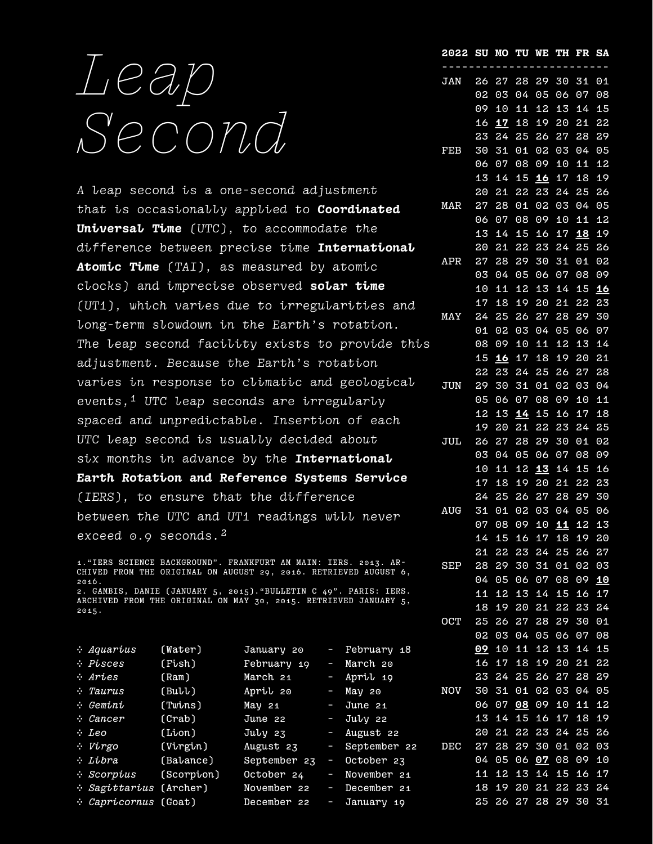# Leap Second

A leap second is a one-second adjustment that is occasionally applied to **Coordinated** Universal Time (UTC), to accommodate the difference between precise time International Atomic Time (TAI), as measured by atomic clocks) and imprecise observed solar time (UT1), which varies due to irregularities and long-term slowdown in the Earth's rotation. The leap second facility exists to provide this adjustment. Because the Earth's rotation varies in response to climatic and geological events,<sup>1</sup> UTC leap seconds are irregularly spaced and unpredictable. Insertion of each UTC leap second is usually decided about six months in advance by the International Earth Rotation and Reference Systems Service (IERS), to ensure that the difference between the UTC and UT1 readings will never exceed 0.9 seconds.<sup>2</sup>

1."IERS SCIENCE BACKGROUND". FRANKFURT AM MAIN: IERS. 2013. AR-CHIVED FROM THE ORIGINAL ON AUGUST 29, 2016. RETRIEVED AUGUST 6, 2016. 2. GAMBIS, DANIE (JANUARY 5, 2015)."BULLETIN C 49". PARIS: IERS. ARCHIVED FROM THE ORIGINAL ON MAY 30, 2015. RETRIEVED JANUARY 5, 2015.

| $\therefore$ Aquarius         | (Water)    | January 20          |        | - February 18  |            |  |  | 09 10 11 12 13 14 15 |  |
|-------------------------------|------------|---------------------|--------|----------------|------------|--|--|----------------------|--|
| $\cdot$ Pisces                | (Fish)     | February 19         |        | - March 20     |            |  |  | 16 17 18 19 20 21 22 |  |
| Aries :-                      | (Ram)      | March 21            |        | - April 19     |            |  |  | 23 24 25 26 27 28 29 |  |
| $\cdot$ Taurus                | (Bull)     | April 20            |        | - May 20       | <b>NOV</b> |  |  | 30 31 01 02 03 04 05 |  |
| – Gemini                      | (Twins)    | May 21              | $\sim$ | June 21        |            |  |  | 06 07 08 09 10 11 12 |  |
| $\therefore$ Cancer           | (Crab)     | June 22             |        | - Juby 22      |            |  |  | 13 14 15 16 17 18 19 |  |
| $\cdot$ Leo                   | (Lion)     | $Ju\overline{v}$ 23 |        | - August 22    |            |  |  | 20 21 22 23 24 25 26 |  |
| : Virgo                       | (Virgin)   | August 23           |        | - September 22 | DEC        |  |  | 27 28 29 30 01 02 03 |  |
| ÷ Libra                       | (Balance)  | September 23        | J.     | October 23     |            |  |  | 04 05 06 07 08 09 10 |  |
| $\therefore$ Scorpius         | (Scorpion) | October 24          | l      | November 21    |            |  |  | 11 12 13 14 15 16 17 |  |
| <i>: Sagittarius</i> (Archer) |            | November 22         | $\sim$ | December 21    |            |  |  | 18 19 20 21 22 23 24 |  |
| <i>: Capricornus</i> (Goat)   |            | December 22         | J,     | January 19     |            |  |  | 25 26 27 28 29 30 31 |  |

| SU | MO                                                                                                                                                                                                                                                               | πυ                                                                                                                                                                                                                                              | W.                                                                                                                                                                                                                         | ТH                                                                                                                                                                                                                                            | FR                                                                                                                                                                                                                                                         | <u>SA</u>                                                                                                                                                                                                                         |
|----|------------------------------------------------------------------------------------------------------------------------------------------------------------------------------------------------------------------------------------------------------------------|-------------------------------------------------------------------------------------------------------------------------------------------------------------------------------------------------------------------------------------------------|----------------------------------------------------------------------------------------------------------------------------------------------------------------------------------------------------------------------------|-----------------------------------------------------------------------------------------------------------------------------------------------------------------------------------------------------------------------------------------------|------------------------------------------------------------------------------------------------------------------------------------------------------------------------------------------------------------------------------------------------------------|-----------------------------------------------------------------------------------------------------------------------------------------------------------------------------------------------------------------------------------|
|    |                                                                                                                                                                                                                                                                  |                                                                                                                                                                                                                                                 |                                                                                                                                                                                                                            |                                                                                                                                                                                                                                               |                                                                                                                                                                                                                                                            | 01                                                                                                                                                                                                                                |
|    |                                                                                                                                                                                                                                                                  |                                                                                                                                                                                                                                                 |                                                                                                                                                                                                                            |                                                                                                                                                                                                                                               |                                                                                                                                                                                                                                                            | 08                                                                                                                                                                                                                                |
|    |                                                                                                                                                                                                                                                                  |                                                                                                                                                                                                                                                 |                                                                                                                                                                                                                            |                                                                                                                                                                                                                                               |                                                                                                                                                                                                                                                            | 15                                                                                                                                                                                                                                |
|    |                                                                                                                                                                                                                                                                  |                                                                                                                                                                                                                                                 |                                                                                                                                                                                                                            |                                                                                                                                                                                                                                               |                                                                                                                                                                                                                                                            | 22                                                                                                                                                                                                                                |
|    |                                                                                                                                                                                                                                                                  |                                                                                                                                                                                                                                                 |                                                                                                                                                                                                                            |                                                                                                                                                                                                                                               |                                                                                                                                                                                                                                                            | 29                                                                                                                                                                                                                                |
|    |                                                                                                                                                                                                                                                                  |                                                                                                                                                                                                                                                 |                                                                                                                                                                                                                            |                                                                                                                                                                                                                                               |                                                                                                                                                                                                                                                            | 05                                                                                                                                                                                                                                |
|    |                                                                                                                                                                                                                                                                  |                                                                                                                                                                                                                                                 |                                                                                                                                                                                                                            |                                                                                                                                                                                                                                               |                                                                                                                                                                                                                                                            | 12                                                                                                                                                                                                                                |
|    |                                                                                                                                                                                                                                                                  |                                                                                                                                                                                                                                                 |                                                                                                                                                                                                                            |                                                                                                                                                                                                                                               |                                                                                                                                                                                                                                                            | 19                                                                                                                                                                                                                                |
|    |                                                                                                                                                                                                                                                                  |                                                                                                                                                                                                                                                 |                                                                                                                                                                                                                            |                                                                                                                                                                                                                                               |                                                                                                                                                                                                                                                            | 26                                                                                                                                                                                                                                |
|    |                                                                                                                                                                                                                                                                  |                                                                                                                                                                                                                                                 |                                                                                                                                                                                                                            |                                                                                                                                                                                                                                               |                                                                                                                                                                                                                                                            | 05                                                                                                                                                                                                                                |
|    |                                                                                                                                                                                                                                                                  |                                                                                                                                                                                                                                                 |                                                                                                                                                                                                                            |                                                                                                                                                                                                                                               |                                                                                                                                                                                                                                                            | 12                                                                                                                                                                                                                                |
|    |                                                                                                                                                                                                                                                                  |                                                                                                                                                                                                                                                 |                                                                                                                                                                                                                            |                                                                                                                                                                                                                                               |                                                                                                                                                                                                                                                            | 19                                                                                                                                                                                                                                |
|    |                                                                                                                                                                                                                                                                  |                                                                                                                                                                                                                                                 |                                                                                                                                                                                                                            |                                                                                                                                                                                                                                               |                                                                                                                                                                                                                                                            | 26                                                                                                                                                                                                                                |
|    |                                                                                                                                                                                                                                                                  |                                                                                                                                                                                                                                                 |                                                                                                                                                                                                                            |                                                                                                                                                                                                                                               |                                                                                                                                                                                                                                                            | 02                                                                                                                                                                                                                                |
|    |                                                                                                                                                                                                                                                                  |                                                                                                                                                                                                                                                 |                                                                                                                                                                                                                            |                                                                                                                                                                                                                                               |                                                                                                                                                                                                                                                            | 09                                                                                                                                                                                                                                |
|    |                                                                                                                                                                                                                                                                  |                                                                                                                                                                                                                                                 |                                                                                                                                                                                                                            |                                                                                                                                                                                                                                               |                                                                                                                                                                                                                                                            | 16                                                                                                                                                                                                                                |
|    |                                                                                                                                                                                                                                                                  |                                                                                                                                                                                                                                                 |                                                                                                                                                                                                                            |                                                                                                                                                                                                                                               |                                                                                                                                                                                                                                                            | 23                                                                                                                                                                                                                                |
|    |                                                                                                                                                                                                                                                                  |                                                                                                                                                                                                                                                 |                                                                                                                                                                                                                            |                                                                                                                                                                                                                                               |                                                                                                                                                                                                                                                            | 30                                                                                                                                                                                                                                |
|    |                                                                                                                                                                                                                                                                  |                                                                                                                                                                                                                                                 |                                                                                                                                                                                                                            |                                                                                                                                                                                                                                               |                                                                                                                                                                                                                                                            | 07                                                                                                                                                                                                                                |
|    |                                                                                                                                                                                                                                                                  |                                                                                                                                                                                                                                                 |                                                                                                                                                                                                                            |                                                                                                                                                                                                                                               |                                                                                                                                                                                                                                                            | 14                                                                                                                                                                                                                                |
|    |                                                                                                                                                                                                                                                                  |                                                                                                                                                                                                                                                 |                                                                                                                                                                                                                            |                                                                                                                                                                                                                                               |                                                                                                                                                                                                                                                            | 21                                                                                                                                                                                                                                |
|    |                                                                                                                                                                                                                                                                  |                                                                                                                                                                                                                                                 |                                                                                                                                                                                                                            |                                                                                                                                                                                                                                               |                                                                                                                                                                                                                                                            | 28                                                                                                                                                                                                                                |
|    |                                                                                                                                                                                                                                                                  |                                                                                                                                                                                                                                                 |                                                                                                                                                                                                                            |                                                                                                                                                                                                                                               |                                                                                                                                                                                                                                                            | 04                                                                                                                                                                                                                                |
|    |                                                                                                                                                                                                                                                                  |                                                                                                                                                                                                                                                 |                                                                                                                                                                                                                            |                                                                                                                                                                                                                                               |                                                                                                                                                                                                                                                            | 11                                                                                                                                                                                                                                |
|    |                                                                                                                                                                                                                                                                  |                                                                                                                                                                                                                                                 |                                                                                                                                                                                                                            |                                                                                                                                                                                                                                               |                                                                                                                                                                                                                                                            | 18                                                                                                                                                                                                                                |
|    |                                                                                                                                                                                                                                                                  |                                                                                                                                                                                                                                                 |                                                                                                                                                                                                                            |                                                                                                                                                                                                                                               |                                                                                                                                                                                                                                                            | 25                                                                                                                                                                                                                                |
|    |                                                                                                                                                                                                                                                                  |                                                                                                                                                                                                                                                 |                                                                                                                                                                                                                            |                                                                                                                                                                                                                                               |                                                                                                                                                                                                                                                            | 02                                                                                                                                                                                                                                |
|    |                                                                                                                                                                                                                                                                  |                                                                                                                                                                                                                                                 |                                                                                                                                                                                                                            |                                                                                                                                                                                                                                               |                                                                                                                                                                                                                                                            | 09                                                                                                                                                                                                                                |
|    |                                                                                                                                                                                                                                                                  |                                                                                                                                                                                                                                                 |                                                                                                                                                                                                                            |                                                                                                                                                                                                                                               |                                                                                                                                                                                                                                                            | 16                                                                                                                                                                                                                                |
|    |                                                                                                                                                                                                                                                                  |                                                                                                                                                                                                                                                 |                                                                                                                                                                                                                            |                                                                                                                                                                                                                                               |                                                                                                                                                                                                                                                            | 23                                                                                                                                                                                                                                |
|    |                                                                                                                                                                                                                                                                  |                                                                                                                                                                                                                                                 |                                                                                                                                                                                                                            |                                                                                                                                                                                                                                               |                                                                                                                                                                                                                                                            | 30                                                                                                                                                                                                                                |
|    |                                                                                                                                                                                                                                                                  |                                                                                                                                                                                                                                                 |                                                                                                                                                                                                                            |                                                                                                                                                                                                                                               |                                                                                                                                                                                                                                                            | 06                                                                                                                                                                                                                                |
|    |                                                                                                                                                                                                                                                                  |                                                                                                                                                                                                                                                 |                                                                                                                                                                                                                            |                                                                                                                                                                                                                                               |                                                                                                                                                                                                                                                            | 13                                                                                                                                                                                                                                |
|    |                                                                                                                                                                                                                                                                  |                                                                                                                                                                                                                                                 |                                                                                                                                                                                                                            |                                                                                                                                                                                                                                               |                                                                                                                                                                                                                                                            | 20                                                                                                                                                                                                                                |
|    | 22                                                                                                                                                                                                                                                               |                                                                                                                                                                                                                                                 |                                                                                                                                                                                                                            |                                                                                                                                                                                                                                               |                                                                                                                                                                                                                                                            | $\overline{27}$                                                                                                                                                                                                                   |
|    |                                                                                                                                                                                                                                                                  |                                                                                                                                                                                                                                                 |                                                                                                                                                                                                                            |                                                                                                                                                                                                                                               |                                                                                                                                                                                                                                                            | 03                                                                                                                                                                                                                                |
|    |                                                                                                                                                                                                                                                                  | 06                                                                                                                                                                                                                                              |                                                                                                                                                                                                                            |                                                                                                                                                                                                                                               | 09                                                                                                                                                                                                                                                         | 10                                                                                                                                                                                                                                |
| 11 | 12                                                                                                                                                                                                                                                               | 13                                                                                                                                                                                                                                              | 14                                                                                                                                                                                                                         | 15                                                                                                                                                                                                                                            | 16                                                                                                                                                                                                                                                         | 17                                                                                                                                                                                                                                |
| 18 | 19                                                                                                                                                                                                                                                               | 20                                                                                                                                                                                                                                              | $\overline{21}$                                                                                                                                                                                                            | 22                                                                                                                                                                                                                                            | 23                                                                                                                                                                                                                                                         | 24                                                                                                                                                                                                                                |
| 25 | 26                                                                                                                                                                                                                                                               | 27                                                                                                                                                                                                                                              | 28                                                                                                                                                                                                                         | 29                                                                                                                                                                                                                                            | 30                                                                                                                                                                                                                                                         | 01                                                                                                                                                                                                                                |
| 02 | $\overline{03}$                                                                                                                                                                                                                                                  | $\Theta$ 4                                                                                                                                                                                                                                      | 05                                                                                                                                                                                                                         | 06                                                                                                                                                                                                                                            | 07                                                                                                                                                                                                                                                         | 08                                                                                                                                                                                                                                |
|    | 10                                                                                                                                                                                                                                                               | 11                                                                                                                                                                                                                                              | 12                                                                                                                                                                                                                         | 13                                                                                                                                                                                                                                            | 14                                                                                                                                                                                                                                                         | 15                                                                                                                                                                                                                                |
| 16 | 17                                                                                                                                                                                                                                                               | 18                                                                                                                                                                                                                                              | 19                                                                                                                                                                                                                         | 20                                                                                                                                                                                                                                            | 21                                                                                                                                                                                                                                                         | 22                                                                                                                                                                                                                                |
| 23 | 24                                                                                                                                                                                                                                                               | 25                                                                                                                                                                                                                                              | 26                                                                                                                                                                                                                         | 27                                                                                                                                                                                                                                            | 28                                                                                                                                                                                                                                                         | 29                                                                                                                                                                                                                                |
| 30 | 31                                                                                                                                                                                                                                                               | 01                                                                                                                                                                                                                                              | 02                                                                                                                                                                                                                         | 03                                                                                                                                                                                                                                            | 04                                                                                                                                                                                                                                                         | 05                                                                                                                                                                                                                                |
| 06 | 07                                                                                                                                                                                                                                                               | 08                                                                                                                                                                                                                                              | 09                                                                                                                                                                                                                         | 10                                                                                                                                                                                                                                            | 11                                                                                                                                                                                                                                                         | 12                                                                                                                                                                                                                                |
| 13 | 14                                                                                                                                                                                                                                                               | 15                                                                                                                                                                                                                                              | 16                                                                                                                                                                                                                         | 17                                                                                                                                                                                                                                            | 18                                                                                                                                                                                                                                                         | 19                                                                                                                                                                                                                                |
|    | 21                                                                                                                                                                                                                                                               |                                                                                                                                                                                                                                                 |                                                                                                                                                                                                                            |                                                                                                                                                                                                                                               |                                                                                                                                                                                                                                                            | 26                                                                                                                                                                                                                                |
| 27 | 28                                                                                                                                                                                                                                                               | 29                                                                                                                                                                                                                                              | 30                                                                                                                                                                                                                         | 01                                                                                                                                                                                                                                            | 02                                                                                                                                                                                                                                                         | 03                                                                                                                                                                                                                                |
| 04 | 05                                                                                                                                                                                                                                                               | 06                                                                                                                                                                                                                                              | 07                                                                                                                                                                                                                         | 08                                                                                                                                                                                                                                            | 09                                                                                                                                                                                                                                                         | 10                                                                                                                                                                                                                                |
| 11 | 12                                                                                                                                                                                                                                                               | 13                                                                                                                                                                                                                                              | 14                                                                                                                                                                                                                         | 15                                                                                                                                                                                                                                            | 16                                                                                                                                                                                                                                                         | 17                                                                                                                                                                                                                                |
| 18 | 19                                                                                                                                                                                                                                                               | 20                                                                                                                                                                                                                                              | 21                                                                                                                                                                                                                         | 22                                                                                                                                                                                                                                            | 23                                                                                                                                                                                                                                                         | 24                                                                                                                                                                                                                                |
|    | 26<br>02<br>09<br>16<br>23<br>30<br>06<br>13<br>20<br>27<br>06<br>13<br>20<br>27<br>03<br>10<br>17<br>24<br>01<br>08<br>15<br>22<br>29<br>05<br>12<br>19<br>26<br>03<br>10<br>17<br>24<br>31<br>07<br>14<br>21<br>28<br>$\overline{0}4$<br>$\overline{09}$<br>20 | 27<br>03<br>10<br><u>17</u><br>24<br>31<br>07<br>14<br>21<br>28<br>07<br>14<br>21<br>28<br>04<br>11<br>18<br>25<br>02<br>09<br><u>16</u><br>23<br>30<br>06<br>13<br>20<br>27<br>$\overline{0}4$<br>11<br>18<br>25<br>01<br>08<br>15<br>29<br>05 | 28<br>04<br>11<br>18<br>25<br>01<br>08<br>15<br>22<br>01<br>08<br>15<br>22<br>29<br>05<br>12<br>19<br>26<br>03<br>10<br>17<br>24<br>31<br>07<br>14<br>21<br>28<br>05<br>12<br>19<br>26<br>02<br>09<br>16<br>23<br>30<br>22 | 29<br>05<br>12<br>19<br>26<br>02<br>09<br>16<br>23<br>02<br>09<br>16<br>23<br>30<br>06<br>13<br>20<br>27<br>04<br>11<br>18<br>25<br>01<br>08<br>15<br>22<br>29<br>06<br>13<br>20<br>27<br>03<br>10<br>17<br>24<br>31<br>$\overline{0}7$<br>23 | 30<br>06<br>13<br>20<br>27<br>03<br>10<br>17<br>24<br>03<br>10<br>17<br>24<br>31<br>07<br>14<br>$\overline{21}$<br>28<br>05<br>12<br>19<br>26<br>02<br>09<br>16<br>23<br>30<br>07<br>14<br>$\overline{21}$<br>28<br>04<br>11<br>18<br>25<br>01<br>08<br>24 | 31<br>07<br>14<br>21<br>28<br>04<br>11<br>18<br>25<br>04<br>11<br><b>18</b><br>25<br>01<br>08<br>15<br>22<br>29<br>06<br>13<br>20<br>27<br>03<br>10<br>17<br>24<br>01<br>08<br>15<br>22<br>29<br>05<br>12<br>19<br>26<br>02<br>25 |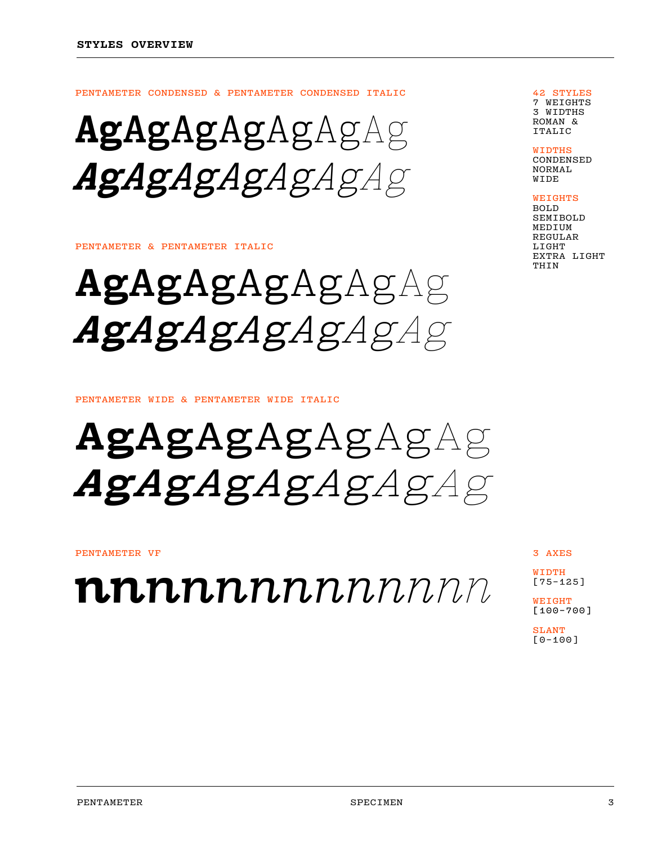PENTAMETER CONDENSED & PENTAMETER CONDENSED ITALIC

AgAgAgAgAgAgAg AgAgAgAgAgAgAg

#### PENTAMETER & PENTAMETER ITALIC

AgAgAgAgAgAgAg AgAgAgAgAgAgAg

PENTAMETER WIDE & PENTAMETER WIDE ITALIC

AgAgAgAgAgAgAg AgAgAgAgAgAgAg

#### PENTAMETER VF

 $\boldsymbol{nn}$ n $\boldsymbol{n}$ n $\boldsymbol{n}$ n $\boldsymbol{n}$ n $\boldsymbol{n}$ 

3 AXES

WIDTH<sub></sub> [75–125]

WEIGHT [100–700]

SLANT [0–100]

42 STYLES 7 WEIGHTS 3 WIDTHS ROMAN & ITALIC

**WIDTHS** 

CONDENSED NORMAL WIDE

WEIGHTS

BOLD SEMIBOLD MEDIUM REGULAR LIGHT EXTRA LIGHT THIN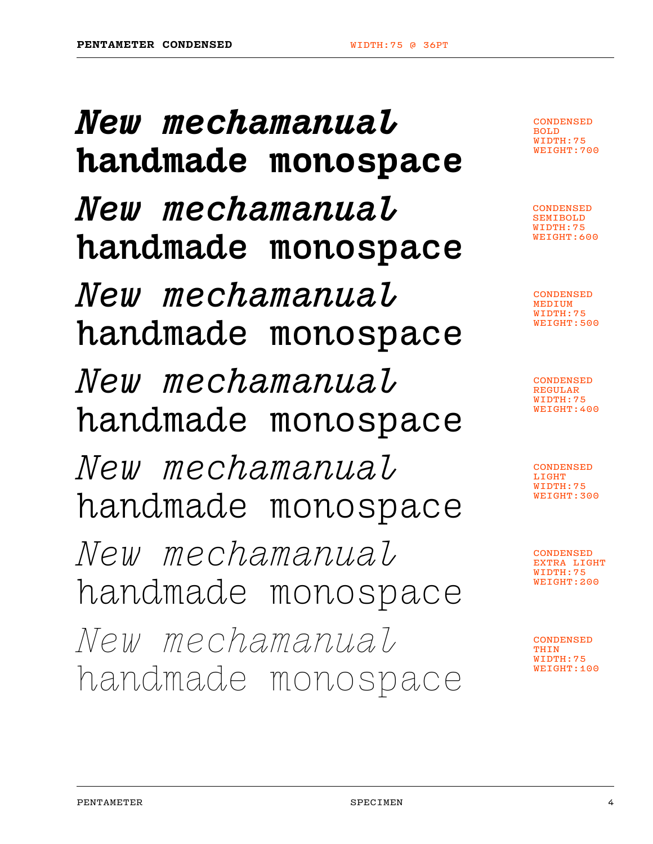New mechamanual handmade monospace New mechamanual handmade monospace New mechamanual handmade monospace New mechamanual handmade monospace New mechamanual handmade monospace New mechamanual handmade monospace New mechamanual handmade monospace

**CONDENSED** BOLD WIDTH:75 WEIGHT:700

CONDENSED SEMIBOLD WIDTH:75 WEIGHT:600

CONDENSED MEDIUM WIDTH:75 WEIGHT:500

**CONDENSED** REGULAR WIDTH:75 WEIGHT:400

CONDENSED LIGHT WIDTH:75 WEIGHT:300

CONDENSED EXTRA LIGHT WIDTH:75 WEIGHT:200

CONDENSED THIN WIDTH:75 WEIGHT:100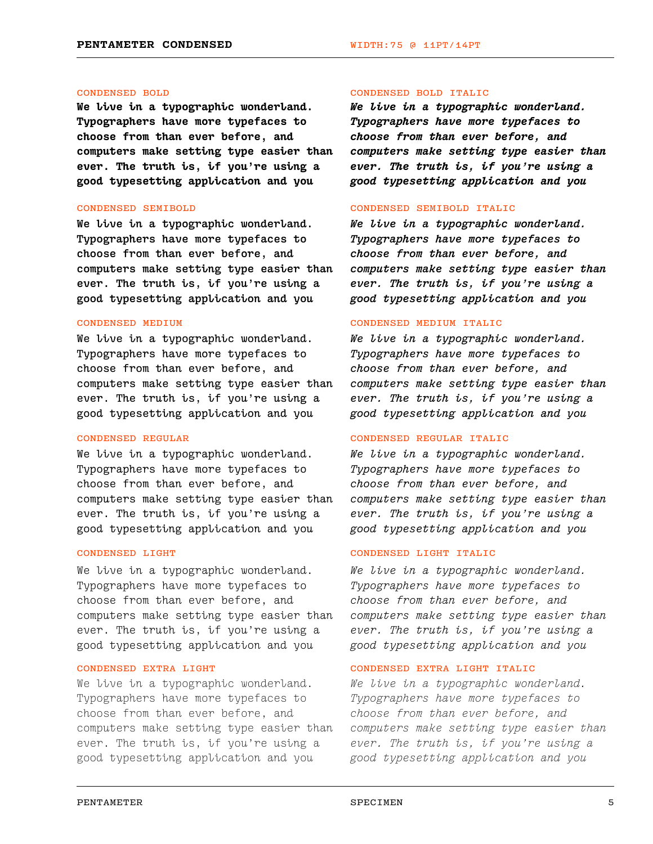#### CONDENSED BOLD

We live in a typographic wonderland. Typographers have more typefaces to choose from than ever before, and computers make setting type easier than ever. The truth is, if you're using a good typesetting application and you

#### CONDENSED SEMIBOLD

We live in a typographic wonderland. Typographers have more typefaces to choose from than ever before, and computers make setting type easier than ever. The truth is, if you're using a good typesetting application and you

# CONDENSED MEDIUM

We live in a typographic wonderland. Typographers have more typefaces to choose from than ever before, and computers make setting type easier than ever. The truth is, if you're using a good typesetting application and you

# CONDENSED REGULAR

We live in a typographic wonderland. Typographers have more typefaces to choose from than ever before, and computers make setting type easier than ever. The truth is, if you're using a good typesetting application and you

# CONDENSED LIGHT

We live in a typographic wonderland. Typographers have more typefaces to choose from than ever before, and computers make setting type easier than ever. The truth is, if you're using a good typesetting application and you

# CONDENSED EXTRA LIGHT

We live in a typographic wonderland. Typographers have more typefaces to choose from than ever before, and computers make setting type easier than ever. The truth is, if you're using a good typesetting application and you

#### CONDENSED BOLD ITALIC

We live in a typographic wonderland. Typographers have more typefaces to choose from than ever before, and computers make setting type easier than ever. The truth is, if you're using a good typesetting application and you

#### CONDENSED SEMIBOLD ITALIC

We live in a typographic wonderland. Typographers have more typefaces to choose from than ever before, and computers make setting type easier than ever. The truth is, if you're using a good typesetting application and you

### CONDENSED MEDIUM ITALIC

We live in a typographic wonderland. Typographers have more typefaces to choose from than ever before, and computers make setting type easier than ever. The truth is, if you're using a good typesetting application and you

### CONDENSED REGULAR ITALIC

We live in a typographic wonderland. Typographers have more typefaces to choose from than ever before, and computers make setting type easier than ever. The truth is, if you're using a good typesetting application and you

# CONDENSED LIGHT ITALIC

We live in a typographic wonderland. Typographers have more typefaces to choose from than ever before, and computers make setting type easier than ever. The truth is, if you're using a good typesetting application and you

# CONDENSED EXTRA LIGHT ITALIC

We live in a typographic wonderland. Typographers have more typefaces to choose from than ever before, and computers make setting type easier than ever. The truth is, if you're using a good typesetting application and you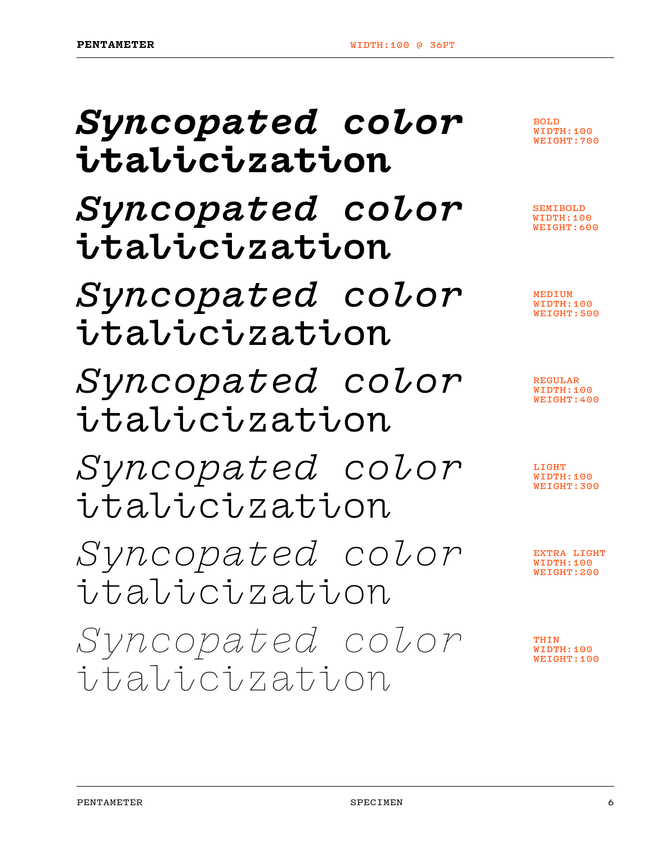| Syncopated color<br>italicization | <b>BOLD</b><br>WIDTH:100<br>WEIGHT: 700    |
|-----------------------------------|--------------------------------------------|
| Syncopated color<br>italicization | SEMIBOLD<br>WIDTH:100<br><b>WEIGHT:600</b> |
| Syncopated color<br>italicization | MEDIUM<br>WIDTH:100<br>WEIGHT: 500         |
| Syncopated color<br>italicization | <b>REGULAR</b><br>WIDTH:100<br>WEIGHT: 400 |
| Syncopated color<br>italicization | LIGHT<br>WIDTH:100<br>WEIGHT: 300          |
| Syncopated color<br>italicization | TRA LIGHT<br>WIDTH:100<br>WEIGHT: 200      |
| Syncopated color<br>italicization | THIN<br>DTH:100<br>WEIGHT:100              |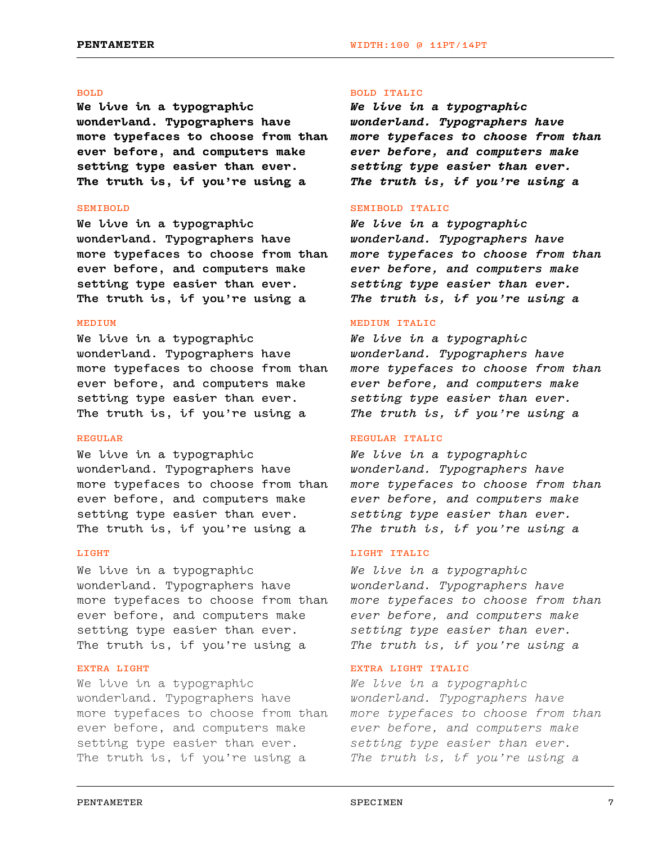# BOLD

We live in a typographic wonderland. Typographers have more typefaces to choose from than ever before, and computers make setting type easier than ever. The truth is, if you're using a

#### SEMIBOLD

We live in a typographic wonderland. Typographers have more typefaces to choose from than ever before, and computers make setting type easier than ever. The truth is, if you're using a

### MEDIUM

We live in a typographic wonderland. Typographers have more typefaces to choose from than ever before, and computers make setting type easier than ever. The truth is, if you're using a

# REGULAR

We live in a typographic wonderland. Typographers have more typefaces to choose from than ever before, and computers make setting type easier than ever. The truth is, if you're using a

#### LIGHT

We live in a typographic wonderland. Typographers have more typefaces to choose from than ever before, and computers make setting type easier than ever. The truth is, if you're using a

# EXTRA LIGHT

We live in a typographic wonderland. Typographers have more typefaces to choose from than ever before, and computers make setting type easier than ever. The truth is, if you're using a

### BOLD ITALIC

We live in a typographic wonderland. Typographers have more typefaces to choose from than ever before, and computers make setting type easier than ever. The truth is, if you're using a

#### SEMIBOLD ITALIC

We live in a typographic wonderland. Typographers have more typefaces to choose from than ever before, and computers make setting type easier than ever. The truth is, if you're using a

### MEDIUM ITALIC

We live in a typographic wonderland. Typographers have more typefaces to choose from than ever before, and computers make setting type easier than ever. The truth is, if you're using a

# REGULAR ITALIC

We live in a typographic wonderland. Typographers have more typefaces to choose from than ever before, and computers make setting type easier than ever. The truth is, if you're using a

# LIGHT ITALIC

We live in a typographic wonderland. Typographers have more typefaces to choose from than ever before, and computers make setting type easier than ever. The truth is, if you're using a

# EXTRA LIGHT ITALIC

We live in a typographic wonderland. Typographers have more typefaces to choose from than ever before, and computers make setting type easier than ever. The truth is, if you're using a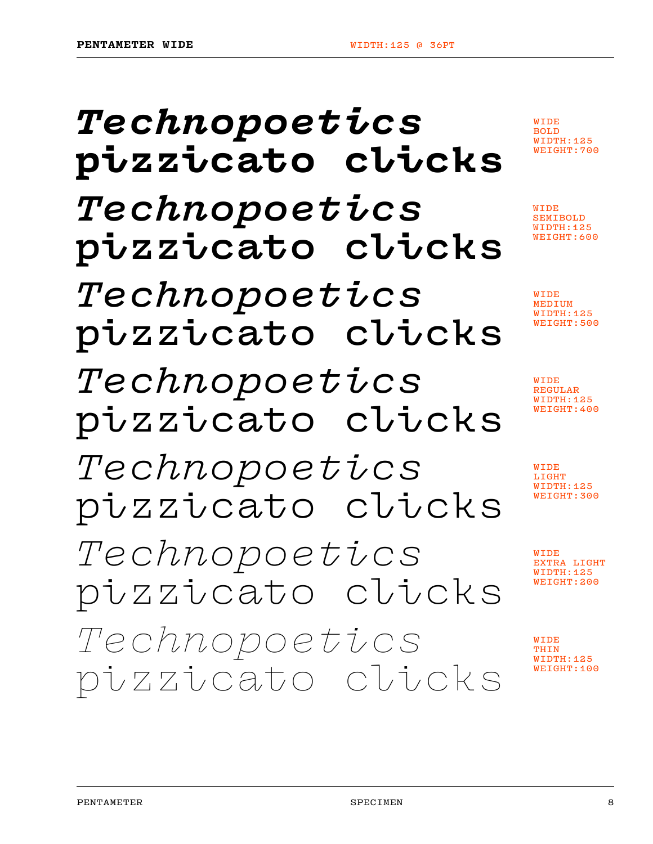# Technopoetics pizzicato clicks Technopoetics pizzicato clicks Technopoetics pizzicato clicks Technopoetics pizzicato clicks Technopoetics pizzicato clicks Technopoetics pizzicato clicks Technopoetics pizzicato clicks

WIDE BOLD WIDTH:125 WEIGHT:700

WIDE SEMIBOLD WIDTH:125 WEIGHT:600

WIDE MEDIUM WIDTH:125 WEIGHT:500

WIDE REGULAR WIDTH:125 WEIGHT:400

WIDE LIGHT WIDTH:125 WEIGHT:300

WIDE EXTRA LIGHT WIDTH:125 WEIGHT:200

WIDE THIN WIDTH:125 WEIGHT:100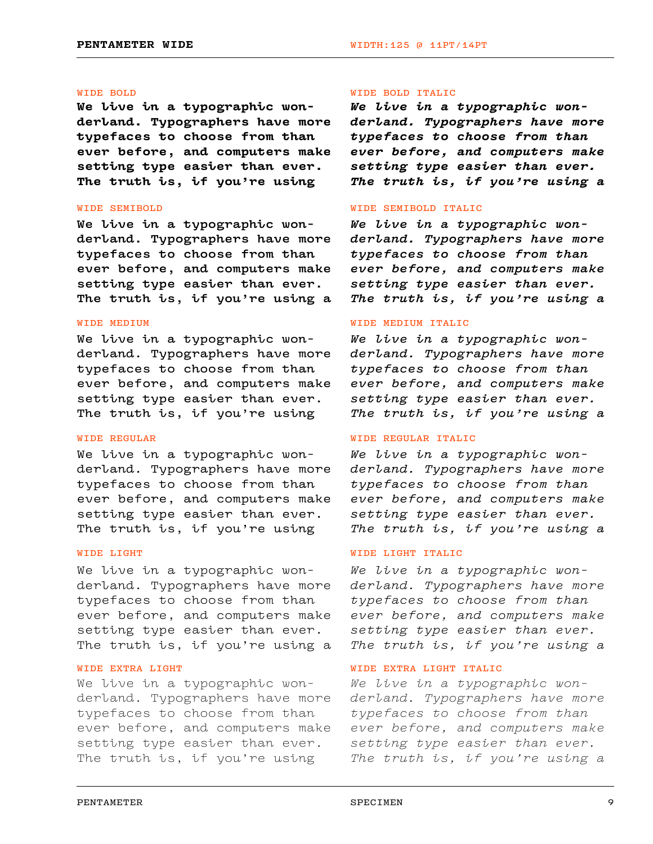#### WIDE BOLD

We live in a typographic wonderland. Typographers have more typefaces to choose from than ever before, and computers make setting type easier than ever. The truth is, if you're using

#### WIDE SEMIBOLD

We live in a typographic wonderland. Typographers have more typefaces to choose from than ever before, and computers make setting type easier than ever. The truth is, if you're using a

# WIDE MEDIUM

We live in a typographic wonderland. Typographers have more typefaces to choose from than ever before, and computers make setting type easier than ever. The truth is, if you're using

# WIDE REGULAR

We live in a typographic wonderland. Typographers have more typefaces to choose from than ever before, and computers make setting type easier than ever. The truth is, if you're using

#### WIDE LIGHT

We live in a typographic wonderland. Typographers have more typefaces to choose from than ever before, and computers make setting type easier than ever. The truth is, if you're using a

# WIDE EXTRA LIGHT

We live in a typographic wonderland. Typographers have more typefaces to choose from than ever before, and computers make setting type easier than ever. The truth is, if you're using

#### WIDE BOLD ITALIC

We live in a typographic wonderland. Typographers have more typefaces to choose from than ever before, and computers make setting type easier than ever. The truth is, if you're using a

#### WIDE SEMIBOLD ITALIC

We live in a typographic wonderland. Typographers have more typefaces to choose from than ever before, and computers make setting type easier than ever. The truth is, if you're using a

### WIDE MEDIUM ITALIC

We live in a typographic wonderland. Typographers have more typefaces to choose from than ever before, and computers make setting type easier than ever. The truth is, if you're using a

# WIDE REGULAR ITALIC

We live in a typographic wonderland. Typographers have more typefaces to choose from than ever before, and computers make setting type easier than ever. The truth is, if you're using a

# WIDE LIGHT ITALIC

We live in a typographic wonderland. Typographers have more typefaces to choose from than ever before, and computers make setting type easier than ever. The truth is, if you're using a

# WIDE EXTRA LIGHT ITALIC

We live in a typographic wonderland. Typographers have more typefaces to choose from than ever before, and computers make setting type easier than ever. The truth is, if you're using a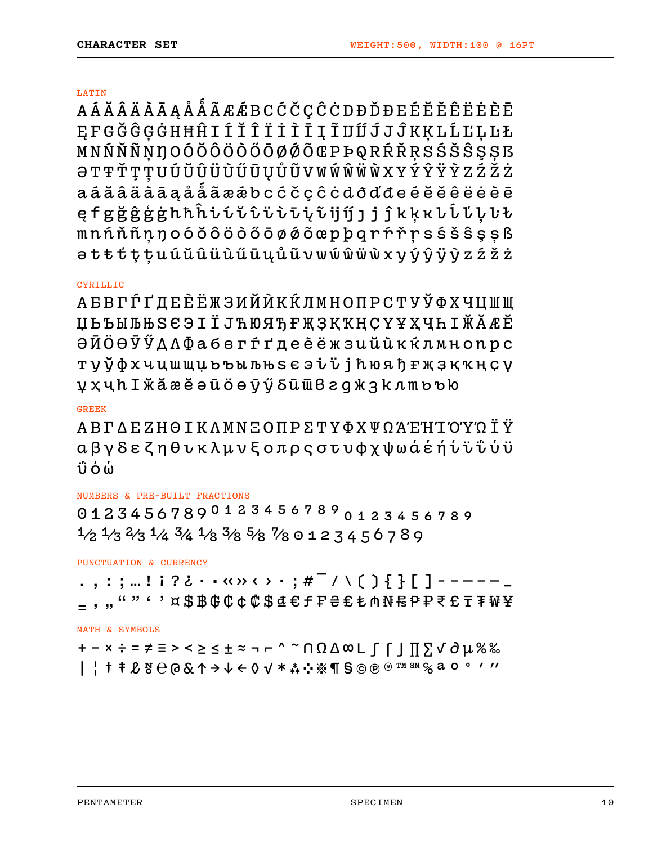### LATIN

AÁĂÂÄÄĀĄÅÅÃÆÆBCĆČÇĈOĐĐĎĐEÉĔĚÊËĖÈĒ ĘFGĞĜĢĠHĦĤIÍĬĨĨİÌĪĮĨIJĨĴJĴKĶLĹĽĻĿŁ MNŃŇŇŅŊOÓŎÔÖŎŐŌØØÕŒPÞQRŔŘRSŚŠŜŞŞ5 **ƏTŦŤŢŢUÚŬŨŨŨŨŲŮŨVWŴŴŴXYÝŶŸŶZŹŽŻ** aáăâäàāąåǻãæǽbcćčçĉċdðďđeéĕěêëėèē ęfgğĝģġhħĥiíĭîïiījjjjĵkķĸlĺľļŀt mnńňñņŋoóŏôöòőōøǿõœpþqrŕřŗsśšŝşșß ətŧťţțuúŭûüùűūųůũvwẃŵẅẁxyýŷÿỳzźžż

# **CYRILLIC**

АБВГЃҐДЕЀЁЖЗИЙЍКЌЛМНОПРСТУЎФХЧЦШЩ ЏЬЪЫЉЊЅЄЭІЇЈЋЮЯЂҒҖҘҚҠҢҪҮҰҲҶҺӀӁӐӔӖ ӘӢӦӨӮӲДЛФабвгѓґдеѐёжзийѝкќлмнопрс туўфхчцшщџьъыљњѕєэіїјћюяђғҗҙқҡңҫү ұҳҷһӀӂӑӕӗәӣӧѳӯӳδӣѿвгджзклтьъю

# GREEK

ΑΒΓΔΕΖΗΘΙΚΛΜΝΞΟΠΡΣΤΥΦΧΨΩΆΈΉΊΌΎΏΪΫ αβγδεζηθικλμνξοπρςστυφχψωάέήίϊΐύϋ ΰόώ

# NUMBERS & PRE-BUILT FRACTIONS

01234567890123456789 1⁄2 1⁄3 2⁄3 1⁄4 3⁄4 1⁄8 3⁄8 5⁄8 7⁄8 0 1 2 3 4 5 6 7 8 9

PUNCTUATION & CURRENCY

.,:;…!¡?¿••«»‹›·;# ̄/\( ) { } [ ] - - - - - \_ <sub>=</sub> , ,, " " ' ' ¤ \$฿₲¢¢¢₡\$₫€fF₴€₺₼₦₨₽₽₹£₸₮₩¥

# MATH & SYMBOLS

+−×÷=≠≡><≥≤±≈¬⌐^~∩Ω∆∞∟∫⌠⌡∏∑√∂µ%‰ |¦†‡ℓ№℮@&↑→↓←◊✓\*⁂※¶§©℗®™℠℅ªº°′″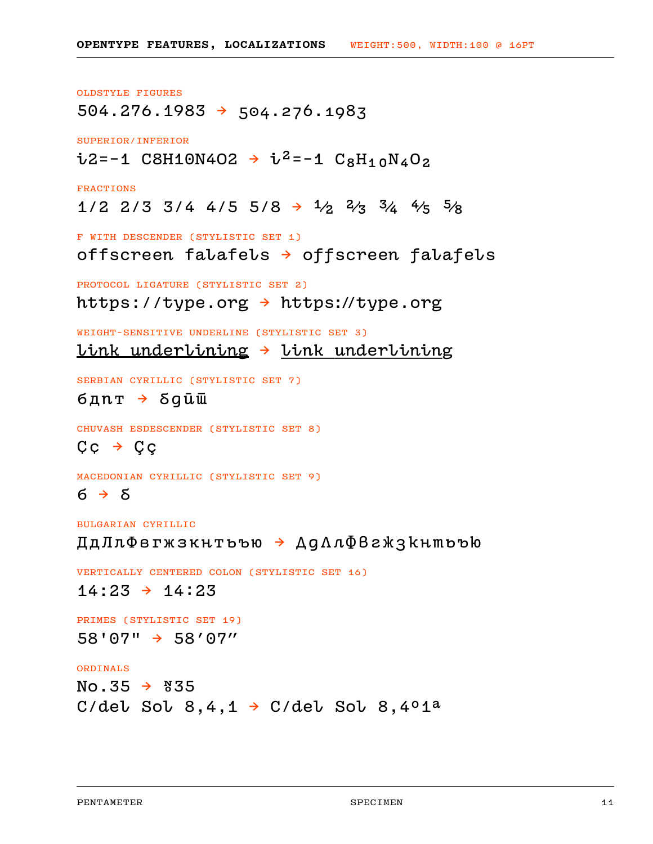OLDSTYLE FIGURES  $504.276.1983 \rightarrow 504.276.1983$ SUPERIOR/INFERIOR  $\frac{1}{2}$ =−1 C8H10N4O2 →  $\frac{1}{2}$ =−1 C<sub>8</sub>H<sub>10</sub>N<sub>4</sub>O<sub>2</sub> FRACTIONS  $1/2$  2/3 3/4 4/5 5/8  $\rightarrow$   $1/2$   $2/3$   $3/4$   $4/5$   $5/8$ F WITH DESCENDER (STYLISTIC SET 1) offscreen falafels → offscreen falafels PROTOCOL LIGATURE (STYLISTIC SET 2) https://type.org → https://type.org WEIGHT-SENSITIVE UNDERLINE (STYLISTIC SET 3) <u>link underlining  $\rightarrow$ </u> link underlining SERBIAN CYRILLIC (STYLISTIC SET 7) бд $n \texttt{t} \rightarrow \texttt{S}$ ди $\bar{u}$ CHUVASH ESDESCENDER (STYLISTIC SET 8)  $C \subset \rightarrow C \subset$ MACEDONIAN CYRILLIC (STYLISTIC SET 9)  $6 \rightarrow 8$ BULGARIAN CYRILLIC ДдЛлФвгжзкнтьъю → ДдЛлФвгжзкнтьъю VERTICALLY CENTERED COLON (STYLISTIC SET 16)  $14:23 \rightarrow 14:23$ 

PRIMES (STYLISTIC SET 19) 58'07" → 58'07"

# ORDINALS

 $No.35 \rightarrow 835$ C/del Sol 8, 4, 1  $\rightarrow$  C/del Sol 8, 4°1<sup>a</sup>